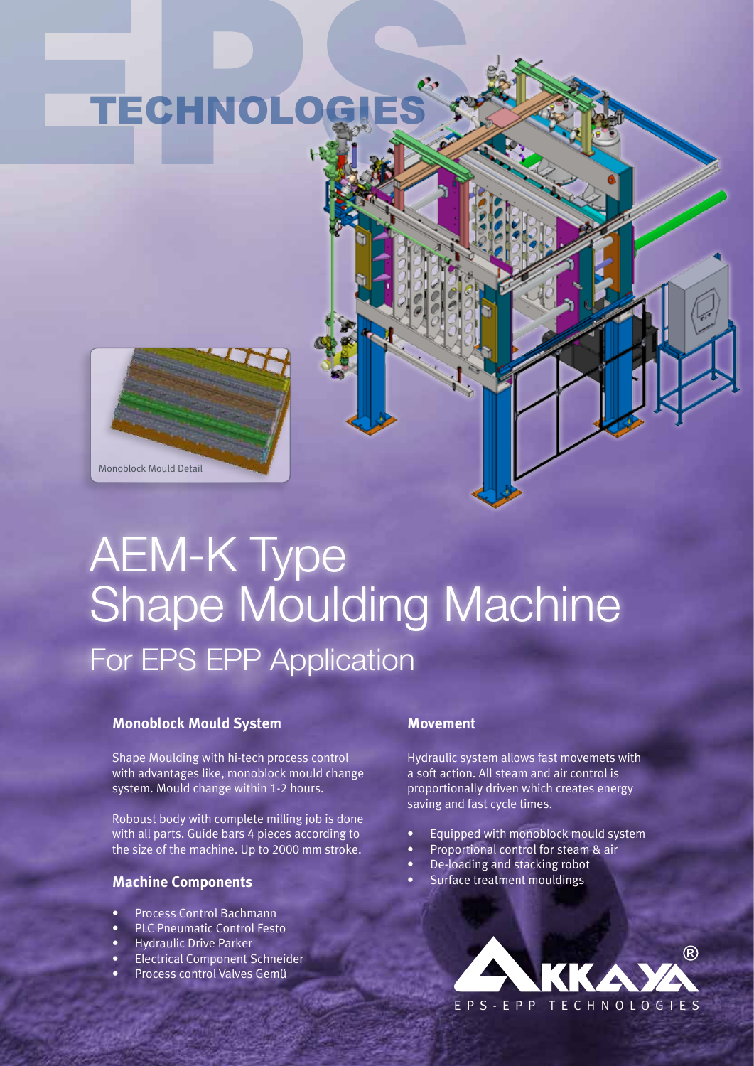# TECHNOLOGIES'S



# AEM-K Type Shape Moulding Machine For EPS EPP Application

### **Monoblock Mould System**

Shape Moulding with hi-tech process control with advantages like, monoblock mould change system. Mould change within 1-2 hours.

Roboust body with complete milling job is done with all parts. Guide bars 4 pieces according to the size of the machine. Up to 2000 mm stroke.

### **Machine Components**

- Process Control Bachmann
- PLC Pneumatic Control Festo
- Hydraulic Drive Parker
- Electrical Component Schneider
- Process control Valves Gemü

### **Movement**

Hydraulic system allows fast movemets with a soft action. All steam and air control is proportionally driven which creates energy saving and fast cycle times.

- Equipped with monoblock mould system
- Proportional control for steam & air
- De-loading and stacking robot
- Surface treatment mouldings